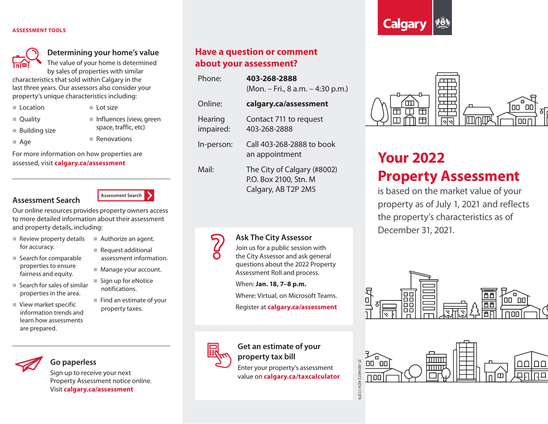#### **ASSESSMENT TOOLS**



### **Determining your home's value**

The value of your home is determined by sales of properties with similar

characteristics that sold within Calgary in the last three years. Our assessors also consider your property's unique characteristics including:

- Location
- $\blacksquare$  Ouality
- 
- **Building size**
- Age

**Renovations** 

 $\blacksquare$  Lot size

For more information on how properties are assessed, visit **calgary.ca/assessment**

#### **Assessment Search**



 $\blacksquare$  Influences (view, green space, traffic, etc)

Our online resources provides property owners access to more detailed information about their assessment and property details, including:

- Review property details for accuracy.
- Search for comparable properties to ensure fairness and equity.
- $\blacksquare$  Search for sales of similar properties in the area.
- View market specific information trends and learn how assessments are prepared.

**Go paperless**

Sign up to receive your next Property Assessment notice online. Visit **calgary.ca/assessment**

- Authorize an agent.
	- Request additional assessment information.
	- **Manage your account.**
	- Sign up for eNotice notifications.
	- $\blacksquare$  Find an estimate of your property taxes.

## **Have a question or comment about your assessment?**

| Phone:               | 403-268-2888<br>(Mon. – Fri., 8 a.m. – 4:30 p.m.)    |
|----------------------|------------------------------------------------------|
| Online:              | calgary.ca/assessment                                |
| Hearing<br>impaired: | Contact 711 to request<br>403-268-2888               |
| In-person:           | Call 403-268-2888 to book<br>an appointment          |
| Mail:                | The City of Calgary (#8002)<br>P.O. Box 2100, Stn. M |

## **Ask The City Assessor**

Join us for a public session with the City Assessor and ask general questions about the 2022 Property Assessment Roll and process.

Calgary, AB T2P 2M5

When: **Jan. 18, 7–8 p.m.** 

Where: Virtual, on Microsoft Teams.

Register at **calgary.ca/assessment** 



## **Get an estimate of your property tax bill**

Enter your property's assessment value on **calgary.ca/taxcalculator**





# **Your 2022 Property Assessment**

is based on the market value of your property as of July 1, 2021 and reflects the property's characteristics as of December 31, 2021.